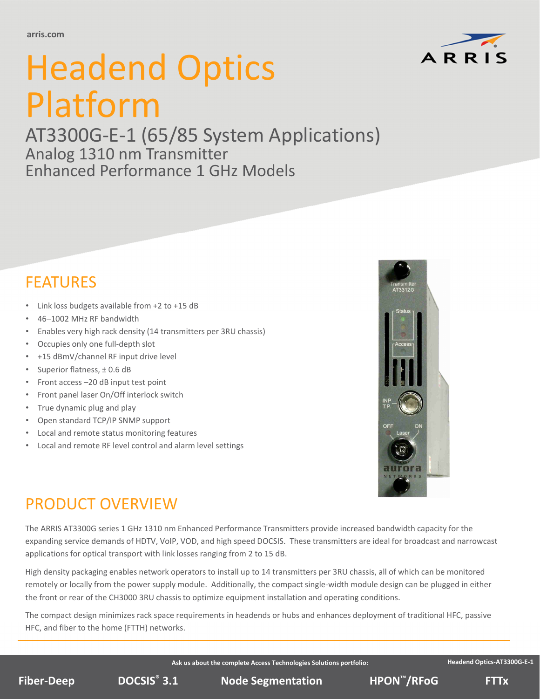

# Headend Optics Platform

AT3300G‐E‐1 (65/85 System Applications) Analog 1310 nm Transmitter Enhanced Performance 1 GHz Models

## FEATURES

- Link loss budgets available from +2 to +15 dB
- 46–1002 MHz RF bandwidth
- Enables very high rack density (14 transmitters per 3RU chassis)
- Occupies only one full-depth slot
- +15 dBmV/channel RF input drive level
- Superior flatness, ± 0.6 dB
- Front access –20 dB input test point
- Front panel laser On/Off interlock switch
- True dynamic plug and play
- Open standard TCP/IP SNMP support
- Local and remote status monitoring features
- Local and remote RF level control and alarm level settings



## PRODUCT OVERVIEW

The ARRIS AT3300G series 1 GHz 1310 nm Enhanced Performance Transmitters provide increased bandwidth capacity for the expanding service demands of HDTV, VoIP, VOD, and high speed DOCSIS. These transmitters are ideal for broadcast and narrowcast applications for optical transport with link losses ranging from 2 to 15 dB.

High density packaging enables network operators to install up to 14 transmitters per 3RU chassis, all of which can be monitored remotely or locally from the power supply module. Additionally, the compact single‐width module design can be plugged in either the front or rear of the CH3000 3RU chassis to optimize equipment installation and operating conditions.

The compact design minimizes rack space requirements in headends or hubs and enhances deployment of traditional HFC, passive HFC, and fiber to the home (FTTH) networks.

**Ask us about the complete Access Technologies Solutions portfolio:**

**Headend Optics‐AT3300G‐E‐1**

**DOCSIS<sup>®</sup> 3.1 Node Segmentation BIPON<sup>™</sup>/RFoG** FTTx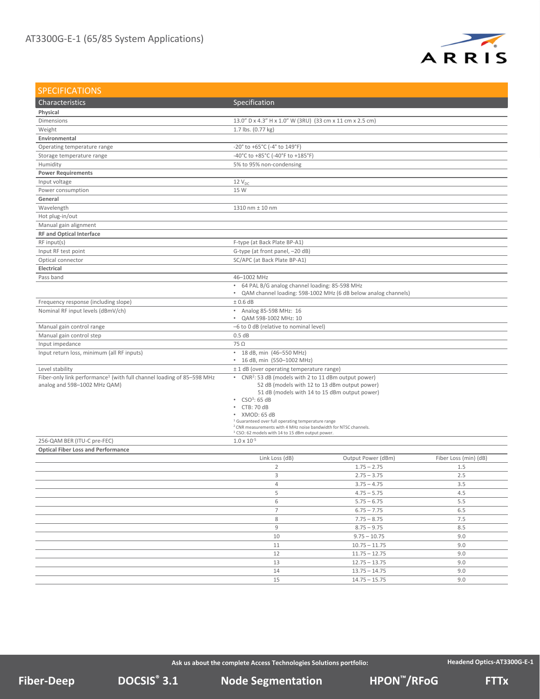

| <b>SPECIFICATIONS</b>                                                             |                                                                                   |                                                                |                       |
|-----------------------------------------------------------------------------------|-----------------------------------------------------------------------------------|----------------------------------------------------------------|-----------------------|
| Characteristics                                                                   | Specification                                                                     |                                                                |                       |
| Physical                                                                          |                                                                                   |                                                                |                       |
| Dimensions                                                                        | 13.0" D x 4.3" H x 1.0" W (3RU) (33 cm x 11 cm x 2.5 cm)                          |                                                                |                       |
| Weight                                                                            | 1.7 lbs. (0.77 kg)                                                                |                                                                |                       |
| Environmental                                                                     |                                                                                   |                                                                |                       |
| Operating temperature range                                                       | -20° to +65°C (-4° to 149°F)                                                      |                                                                |                       |
| Storage temperature range                                                         | -40°C to +85°C (-40°F to +185°F)                                                  |                                                                |                       |
| Humidity                                                                          | 5% to 95% non-condensing                                                          |                                                                |                       |
| <b>Power Requirements</b>                                                         |                                                                                   |                                                                |                       |
| Input voltage                                                                     | $12V_{DC}$                                                                        |                                                                |                       |
| Power consumption                                                                 | 15 W                                                                              |                                                                |                       |
| General                                                                           |                                                                                   |                                                                |                       |
| Wavelength                                                                        | 1310 nm ± 10 nm                                                                   |                                                                |                       |
| Hot plug-in/out                                                                   |                                                                                   |                                                                |                       |
| Manual gain alignment                                                             |                                                                                   |                                                                |                       |
| <b>RF and Optical Interface</b>                                                   |                                                                                   |                                                                |                       |
| RF input(s)                                                                       | F-type (at Back Plate BP-A1)                                                      |                                                                |                       |
| Input RF test point                                                               | G-type (at front panel, -20 dB)                                                   |                                                                |                       |
| Optical connector                                                                 | SC/APC (at Back Plate BP-A1)                                                      |                                                                |                       |
| Electrical                                                                        |                                                                                   |                                                                |                       |
| Pass band                                                                         | 46-1002 MHz                                                                       |                                                                |                       |
|                                                                                   | • 64 PAL B/G analog channel loading: 85-598 MHz                                   |                                                                |                       |
|                                                                                   | $\bullet$                                                                         | QAM channel loading: 598-1002 MHz (6 dB below analog channels) |                       |
| Frequency response (including slope)                                              | ± 0.6 dB                                                                          |                                                                |                       |
| Nominal RF input levels (dBmV/ch)                                                 | • Analog 85-598 MHz: 16                                                           |                                                                |                       |
|                                                                                   | • QAM 598-1002 MHz: 10                                                            |                                                                |                       |
| Manual gain control range                                                         | -6 to 0 dB (relative to nominal level)                                            |                                                                |                       |
| Manual gain control step                                                          | 0.5 dB                                                                            |                                                                |                       |
| Input impedance                                                                   | $75\Omega$                                                                        |                                                                |                       |
| Input return loss, minimum (all RF inputs)                                        | • 18 dB, min (46-550 MHz)                                                         |                                                                |                       |
|                                                                                   | • 16 dB, min (550-1002 MHz)                                                       |                                                                |                       |
| Level stability                                                                   | ± 1 dB (over operating temperature range)                                         |                                                                |                       |
| Fiber-only link performance <sup>1</sup> (with full channel loading of 85-598 MHz | • CNR <sup>2</sup> : 53 dB (models with 2 to 11 dBm output power)                 |                                                                |                       |
| analog and 598-1002 MHz QAM)                                                      | 52 dB (models with 12 to 13 dBm output power)                                     |                                                                |                       |
|                                                                                   | 51 dB (models with 14 to 15 dBm output power)<br>$\cdot$ CSO <sup>3</sup> : 65 dB |                                                                |                       |
|                                                                                   |                                                                                   |                                                                |                       |
|                                                                                   | $\cdot$ CTB: 70 dB                                                                |                                                                |                       |
|                                                                                   | · XMOD: 65 dB<br><sup>1</sup> Guaranteed over full operating temperature range    |                                                                |                       |
|                                                                                   | <sup>2</sup> CNR measurements with 4 MHz noise bandwidth for NTSC channels.       |                                                                |                       |
|                                                                                   | <sup>3</sup> CSO: 62 models with 14 to 15 dBm output power.                       |                                                                |                       |
| 256-QAM BER (ITU-C pre-FEC)                                                       | $1.0 \times 10^{-5}$                                                              |                                                                |                       |
| <b>Optical Fiber Loss and Performance</b>                                         |                                                                                   |                                                                |                       |
|                                                                                   | Link Loss (dB)                                                                    | Output Power (dBm)                                             | Fiber Loss (min) (dB) |
|                                                                                   | $\overline{2}$                                                                    | $1.75 - 2.75$                                                  | 1.5                   |
|                                                                                   | 3                                                                                 | $2.75 - 3.75$                                                  | 2.5                   |
|                                                                                   | 4                                                                                 | $3.75 - 4.75$                                                  | 3.5                   |
|                                                                                   | 5                                                                                 | $4.75 - 5.75$                                                  | 4.5                   |
|                                                                                   | 6                                                                                 | $5.75 - 6.75$                                                  | 5.5                   |
|                                                                                   | $\overline{7}$                                                                    | $6.75 - 7.75$                                                  | 6.5                   |
|                                                                                   | 8                                                                                 | $7.75 - 8.75$                                                  | 7.5                   |
|                                                                                   | 9                                                                                 | $8.75 - 9.75$                                                  | 8.5                   |
|                                                                                   | 10                                                                                | $9.75 - 10.75$                                                 | 9.0                   |
|                                                                                   | 11                                                                                | $10.75 - 11.75$                                                | 9.0                   |
|                                                                                   | 12                                                                                | $11.75 - 12.75$                                                | 9.0                   |
|                                                                                   | 13                                                                                | $12.75 - 13.75$                                                | 9.0                   |
|                                                                                   | 14                                                                                | $13.75 - 14.75$                                                | 9.0                   |
|                                                                                   | 15                                                                                | $14.75 - 15.75$                                                | 9.0                   |
|                                                                                   |                                                                                   |                                                                |                       |

**Ask us about the complete Access Technologies Solutions portfolio:**

**Headend Optics‐AT3300G‐E‐1**

**DOCSIS Node Segmentation ® Fiber‐Deep HPON 3.1 ™/RFoG FTTx**